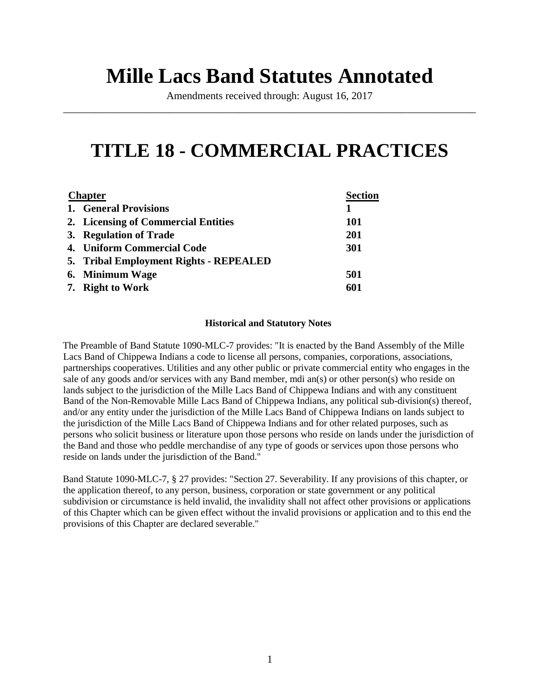# **Mille Lacs Band Statutes Annotated**

Amendments received through: August 16, 2017 \_\_\_\_\_\_\_\_\_\_\_\_\_\_\_\_\_\_\_\_\_\_\_\_\_\_\_\_\_\_\_\_\_\_\_\_\_\_\_\_\_\_\_\_\_\_\_\_\_\_\_\_\_\_\_\_\_\_\_\_\_\_\_\_\_\_\_\_\_\_\_\_\_\_\_\_\_\_

# **TITLE 18 - COMMERCIAL PRACTICES**

| <b>Chapter</b> |                                        | <b>Section</b> |
|----------------|----------------------------------------|----------------|
|                | 1. General Provisions                  | 1              |
|                | 2. Licensing of Commercial Entities    | <b>101</b>     |
|                | 3. Regulation of Trade                 | <b>201</b>     |
|                | 4. Uniform Commercial Code             | 301            |
|                | 5. Tribal Employment Rights - REPEALED |                |
|                | 6. Minimum Wage                        | 501            |
|                | 7. Right to Work                       | 601            |

#### **Historical and Statutory Notes**

The Preamble of Band Statute 1090-MLC-7 provides: "It is enacted by the Band Assembly of the Mille Lacs Band of Chippewa Indians a code to license all persons, companies, corporations, associations, partnerships cooperatives. Utilities and any other public or private commercial entity who engages in the sale of any goods and/or services with any Band member, mdi an(s) or other person(s) who reside on lands subject to the jurisdiction of the Mille Lacs Band of Chippewa Indians and with any constituent Band of the Non-Removable Mille Lacs Band of Chippewa Indians, any political sub-division(s) thereof, and/or any entity under the jurisdiction of the Mille Lacs Band of Chippewa Indians on lands subject to the jurisdiction of the Mille Lacs Band of Chippewa Indians and for other related purposes, such as persons who solicit business or literature upon those persons who reside on lands under the jurisdiction of the Band and those who peddle merchandise of any type of goods or services upon those persons who reside on lands under the jurisdiction of the Band."

Band Statute 1090-MLC-7, § 27 provides: "Section 27. Severability. If any provisions of this chapter, or the application thereof, to any person, business, corporation or state government or any political subdivision or circumstance is held invalid, the invalidity shall not affect other provisions or applications of this Chapter which can be given effect without the invalid provisions or application and to this end the provisions of this Chapter are declared severable."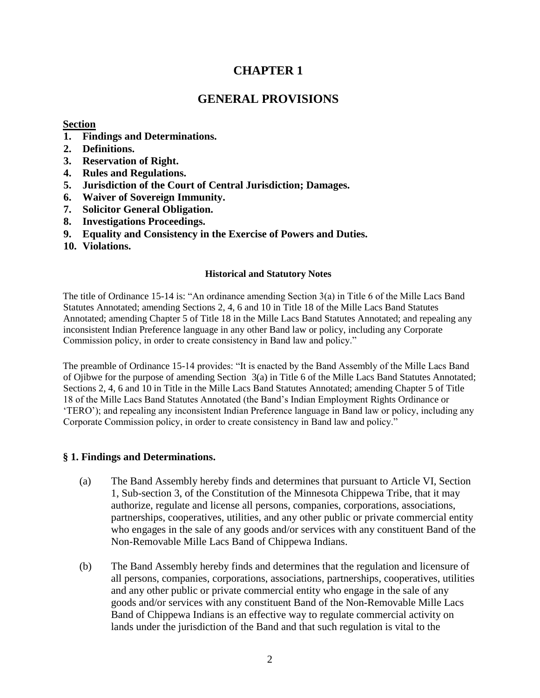# **CHAPTER 1**

# **GENERAL PROVISIONS**

# **Section**

- **1. Findings and Determinations.**
- **2. Definitions.**
- **3. Reservation of Right.**
- **4. Rules and Regulations.**
- **5. Jurisdiction of the Court of Central Jurisdiction; Damages.**
- **6. Waiver of Sovereign Immunity.**
- **7. Solicitor General Obligation.**
- **8. Investigations Proceedings.**
- **9. Equality and Consistency in the Exercise of Powers and Duties.**
- **10. Violations.**

# **Historical and Statutory Notes**

The title of Ordinance 15-14 is: "An ordinance amending Section 3(a) in Title 6 of the Mille Lacs Band Statutes Annotated; amending Sections 2, 4, 6 and 10 in Title 18 of the Mille Lacs Band Statutes Annotated; amending Chapter 5 of Title 18 in the Mille Lacs Band Statutes Annotated; and repealing any inconsistent Indian Preference language in any other Band law or policy, including any Corporate Commission policy, in order to create consistency in Band law and policy."

The preamble of Ordinance 15-14 provides: "It is enacted by the Band Assembly of the Mille Lacs Band of Ojibwe for the purpose of amending Section 3(a) in Title 6 of the Mille Lacs Band Statutes Annotated; Sections 2, 4, 6 and 10 in Title in the Mille Lacs Band Statutes Annotated; amending Chapter 5 of Title 18 of the Mille Lacs Band Statutes Annotated (the Band's Indian Employment Rights Ordinance or 'TERO'); and repealing any inconsistent Indian Preference language in Band law or policy, including any Corporate Commission policy, in order to create consistency in Band law and policy."

# **§ 1. Findings and Determinations.**

- (a) The Band Assembly hereby finds and determines that pursuant to Article VI, Section 1, Sub-section 3, of the Constitution of the Minnesota Chippewa Tribe, that it may authorize, regulate and license all persons, companies, corporations, associations, partnerships, cooperatives, utilities, and any other public or private commercial entity who engages in the sale of any goods and/or services with any constituent Band of the Non-Removable Mille Lacs Band of Chippewa Indians.
- (b) The Band Assembly hereby finds and determines that the regulation and licensure of all persons, companies, corporations, associations, partnerships, cooperatives, utilities and any other public or private commercial entity who engage in the sale of any goods and/or services with any constituent Band of the Non-Removable Mille Lacs Band of Chippewa Indians is an effective way to regulate commercial activity on lands under the jurisdiction of the Band and that such regulation is vital to the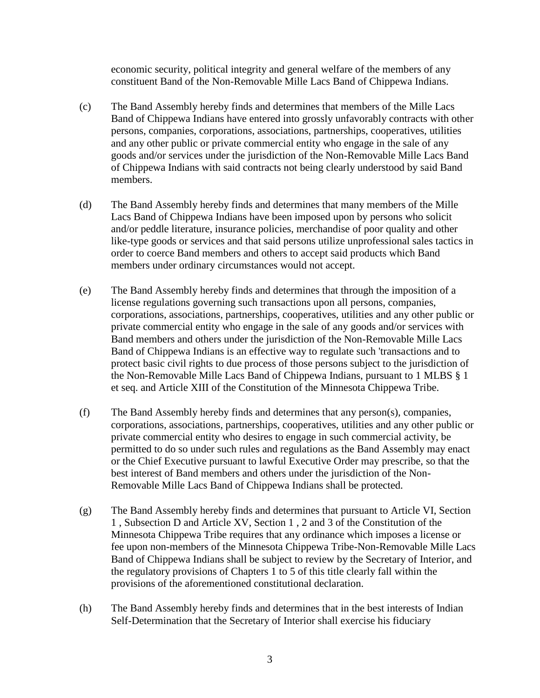economic security, political integrity and general welfare of the members of any constituent Band of the Non-Removable Mille Lacs Band of Chippewa Indians.

- (c) The Band Assembly hereby finds and determines that members of the Mille Lacs Band of Chippewa Indians have entered into grossly unfavorably contracts with other persons, companies, corporations, associations, partnerships, cooperatives, utilities and any other public or private commercial entity who engage in the sale of any goods and/or services under the jurisdiction of the Non-Removable Mille Lacs Band of Chippewa Indians with said contracts not being clearly understood by said Band members.
- (d) The Band Assembly hereby finds and determines that many members of the Mille Lacs Band of Chippewa Indians have been imposed upon by persons who solicit and/or peddle literature, insurance policies, merchandise of poor quality and other like-type goods or services and that said persons utilize unprofessional sales tactics in order to coerce Band members and others to accept said products which Band members under ordinary circumstances would not accept.
- (e) The Band Assembly hereby finds and determines that through the imposition of a license regulations governing such transactions upon all persons, companies, corporations, associations, partnerships, cooperatives, utilities and any other public or private commercial entity who engage in the sale of any goods and/or services with Band members and others under the jurisdiction of the Non-Removable Mille Lacs Band of Chippewa Indians is an effective way to regulate such 'transactions and to protect basic civil rights to due process of those persons subject to the jurisdiction of the Non-Removable Mille Lacs Band of Chippewa Indians, pursuant to 1 MLBS § 1 et seq. and Article XIII of the Constitution of the Minnesota Chippewa Tribe.
- (f) The Band Assembly hereby finds and determines that any person(s), companies, corporations, associations, partnerships, cooperatives, utilities and any other public or private commercial entity who desires to engage in such commercial activity, be permitted to do so under such rules and regulations as the Band Assembly may enact or the Chief Executive pursuant to lawful Executive Order may prescribe, so that the best interest of Band members and others under the jurisdiction of the Non-Removable Mille Lacs Band of Chippewa Indians shall be protected.
- (g) The Band Assembly hereby finds and determines that pursuant to Article VI, Section 1 , Subsection D and Article XV, Section 1 , 2 and 3 of the Constitution of the Minnesota Chippewa Tribe requires that any ordinance which imposes a license or fee upon non-members of the Minnesota Chippewa Tribe-Non-Removable Mille Lacs Band of Chippewa Indians shall be subject to review by the Secretary of Interior, and the regulatory provisions of Chapters 1 to 5 of this title clearly fall within the provisions of the aforementioned constitutional declaration.
- (h) The Band Assembly hereby finds and determines that in the best interests of Indian Self-Determination that the Secretary of Interior shall exercise his fiduciary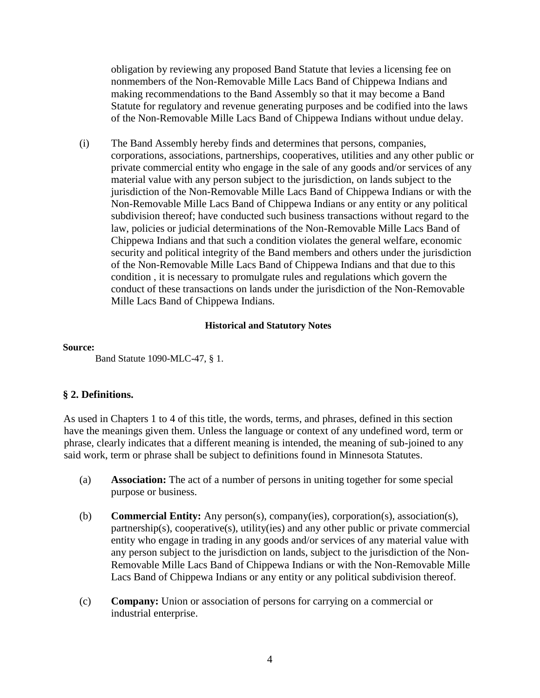obligation by reviewing any proposed Band Statute that levies a licensing fee on nonmembers of the Non-Removable Mille Lacs Band of Chippewa Indians and making recommendations to the Band Assembly so that it may become a Band Statute for regulatory and revenue generating purposes and be codified into the laws of the Non-Removable Mille Lacs Band of Chippewa Indians without undue delay.

(i) The Band Assembly hereby finds and determines that persons, companies, corporations, associations, partnerships, cooperatives, utilities and any other public or private commercial entity who engage in the sale of any goods and/or services of any material value with any person subject to the jurisdiction, on lands subject to the jurisdiction of the Non-Removable Mille Lacs Band of Chippewa Indians or with the Non-Removable Mille Lacs Band of Chippewa Indians or any entity or any political subdivision thereof; have conducted such business transactions without regard to the law, policies or judicial determinations of the Non-Removable Mille Lacs Band of Chippewa Indians and that such a condition violates the general welfare, economic security and political integrity of the Band members and others under the jurisdiction of the Non-Removable Mille Lacs Band of Chippewa Indians and that due to this condition , it is necessary to promulgate rules and regulations which govern the conduct of these transactions on lands under the jurisdiction of the Non-Removable Mille Lacs Band of Chippewa Indians.

### **Historical and Statutory Notes**

#### **Source:**

Band Statute 1090-MLC-47, § 1.

# **§ 2. Definitions.**

As used in Chapters 1 to 4 of this title, the words, terms, and phrases, defined in this section have the meanings given them. Unless the language or context of any undefined word, term or phrase, clearly indicates that a different meaning is intended, the meaning of sub-joined to any said work, term or phrase shall be subject to definitions found in Minnesota Statutes.

- (a) **Association:** The act of a number of persons in uniting together for some special purpose or business.
- (b) **Commercial Entity:** Any person(s), company(ies), corporation(s), association(s), partnership(s), cooperative(s), utility(ies) and any other public or private commercial entity who engage in trading in any goods and/or services of any material value with any person subject to the jurisdiction on lands, subject to the jurisdiction of the Non-Removable Mille Lacs Band of Chippewa Indians or with the Non-Removable Mille Lacs Band of Chippewa Indians or any entity or any political subdivision thereof.
- (c) **Company:** Union or association of persons for carrying on a commercial or industrial enterprise.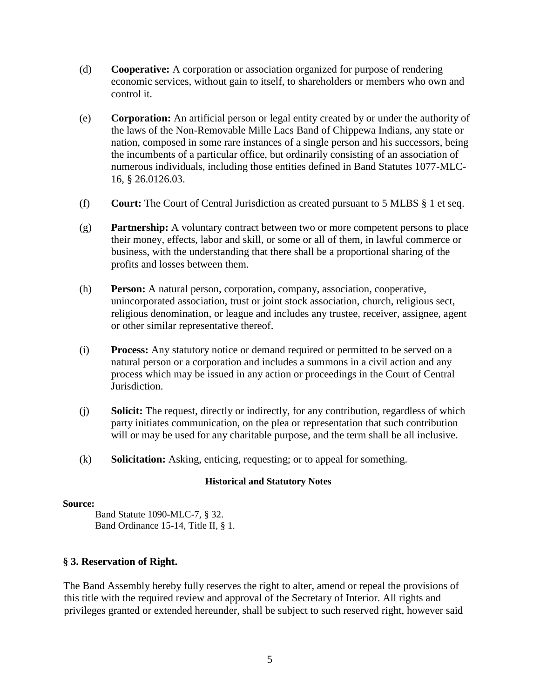- (d) **Cooperative:** A corporation or association organized for purpose of rendering economic services, without gain to itself, to shareholders or members who own and control it.
- (e) **Corporation:** An artificial person or legal entity created by or under the authority of the laws of the Non-Removable Mille Lacs Band of Chippewa Indians, any state or nation, composed in some rare instances of a single person and his successors, being the incumbents of a particular office, but ordinarily consisting of an association of numerous individuals, including those entities defined in Band Statutes 1077-MLC-16, § 26.0126.03.
- (f) **Court:** The Court of Central Jurisdiction as created pursuant to 5 MLBS § 1 et seq.
- (g) **Partnership:** A voluntary contract between two or more competent persons to place their money, effects, labor and skill, or some or all of them, in lawful commerce or business, with the understanding that there shall be a proportional sharing of the profits and losses between them.
- (h) **Person:** A natural person, corporation, company, association, cooperative, unincorporated association, trust or joint stock association, church, religious sect, religious denomination, or league and includes any trustee, receiver, assignee, agent or other similar representative thereof.
- (i) **Process:** Any statutory notice or demand required or permitted to be served on a natural person or a corporation and includes a summons in a civil action and any process which may be issued in any action or proceedings in the Court of Central Jurisdiction.
- (j) **Solicit:** The request, directly or indirectly, for any contribution, regardless of which party initiates communication, on the plea or representation that such contribution will or may be used for any charitable purpose, and the term shall be all inclusive.
- (k) **Solicitation:** Asking, enticing, requesting; or to appeal for something.

### **Source:**

Band Statute 1090-MLC-7, § 32. Band Ordinance 15-14, Title II, § 1.

# **§ 3. Reservation of Right.**

The Band Assembly hereby fully reserves the right to alter, amend or repeal the provisions of this title with the required review and approval of the Secretary of Interior. All rights and privileges granted or extended hereunder, shall be subject to such reserved right, however said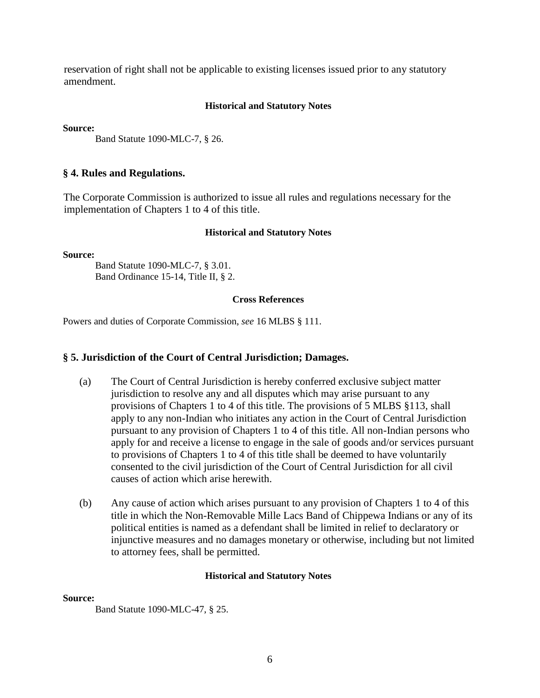reservation of right shall not be applicable to existing licenses issued prior to any statutory amendment.

### **Historical and Statutory Notes**

**Source:** 

Band Statute 1090-MLC-7, § 26.

## **§ 4. Rules and Regulations.**

The Corporate Commission is authorized to issue all rules and regulations necessary for the implementation of Chapters 1 to 4 of this title.

#### **Historical and Statutory Notes**

**Source:** 

Band Statute 1090-MLC-7, § 3.01. Band Ordinance 15-14, Title II, § 2.

#### **Cross References**

Powers and duties of Corporate Commission, *see* 16 MLBS § 111.

### **§ 5. Jurisdiction of the Court of Central Jurisdiction; Damages.**

- (a) The Court of Central Jurisdiction is hereby conferred exclusive subject matter jurisdiction to resolve any and all disputes which may arise pursuant to any provisions of Chapters 1 to 4 of this title. The provisions of 5 MLBS §113, shall apply to any non-Indian who initiates any action in the Court of Central Jurisdiction pursuant to any provision of Chapters 1 to 4 of this title. All non-Indian persons who apply for and receive a license to engage in the sale of goods and/or services pursuant to provisions of Chapters 1 to 4 of this title shall be deemed to have voluntarily consented to the civil jurisdiction of the Court of Central Jurisdiction for all civil causes of action which arise herewith.
- (b) Any cause of action which arises pursuant to any provision of Chapters 1 to 4 of this title in which the Non-Removable Mille Lacs Band of Chippewa Indians or any of its political entities is named as a defendant shall be limited in relief to declaratory or injunctive measures and no damages monetary or otherwise, including but not limited to attorney fees, shall be permitted.

### **Historical and Statutory Notes**

#### **Source:**

Band Statute 1090-MLC-47, § 25.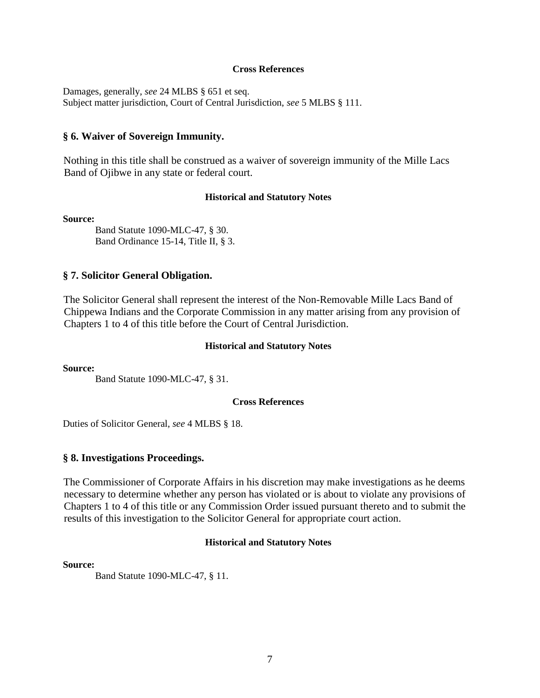#### **Cross References**

Damages, generally, *see* 24 MLBS § 651 et seq. Subject matter jurisdiction, Court of Central Jurisdiction, *see* 5 MLBS § 111.

#### **§ 6. Waiver of Sovereign Immunity.**

Nothing in this title shall be construed as a waiver of sovereign immunity of the Mille Lacs Band of Ojibwe in any state or federal court.

#### **Historical and Statutory Notes**

**Source:** 

Band Statute 1090-MLC-47, § 30. Band Ordinance 15-14, Title II, § 3.

#### **§ 7. Solicitor General Obligation.**

The Solicitor General shall represent the interest of the Non-Removable Mille Lacs Band of Chippewa Indians and the Corporate Commission in any matter arising from any provision of Chapters 1 to 4 of this title before the Court of Central Jurisdiction.

#### **Historical and Statutory Notes**

**Source:** 

Band Statute 1090-MLC-47, § 31.

#### **Cross References**

Duties of Solicitor General, *see* 4 MLBS § 18.

#### **§ 8. Investigations Proceedings.**

The Commissioner of Corporate Affairs in his discretion may make investigations as he deems necessary to determine whether any person has violated or is about to violate any provisions of Chapters 1 to 4 of this title or any Commission Order issued pursuant thereto and to submit the results of this investigation to the Solicitor General for appropriate court action.

#### **Historical and Statutory Notes**

#### **Source:**

Band Statute 1090-MLC-47, § 11.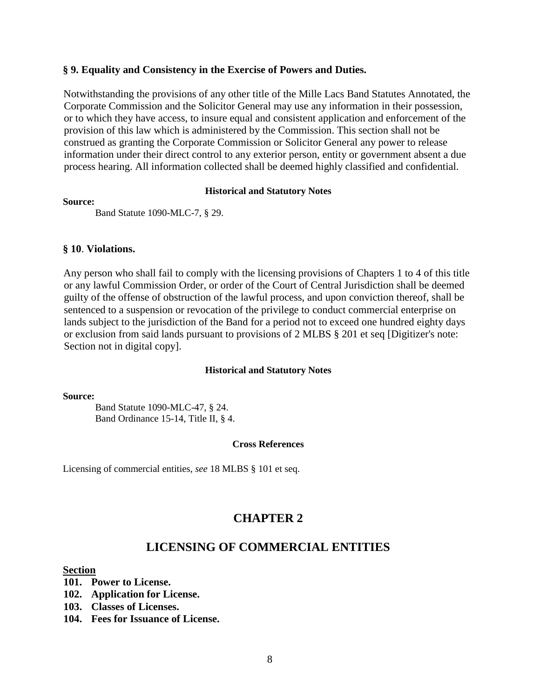# **§ 9. Equality and Consistency in the Exercise of Powers and Duties.**

Notwithstanding the provisions of any other title of the Mille Lacs Band Statutes Annotated, the Corporate Commission and the Solicitor General may use any information in their possession, or to which they have access, to insure equal and consistent application and enforcement of the provision of this law which is administered by the Commission. This section shall not be construed as granting the Corporate Commission or Solicitor General any power to release information under their direct control to any exterior person, entity or government absent a due process hearing. All information collected shall be deemed highly classified and confidential.

#### **Historical and Statutory Notes**

#### **Source:**

Band Statute 1090-MLC-7, § 29.

### **§ 10**. **Violations.**

Any person who shall fail to comply with the licensing provisions of Chapters 1 to 4 of this title or any lawful Commission Order, or order of the Court of Central Jurisdiction shall be deemed guilty of the offense of obstruction of the lawful process, and upon conviction thereof, shall be sentenced to a suspension or revocation of the privilege to conduct commercial enterprise on lands subject to the jurisdiction of the Band for a period not to exceed one hundred eighty days or exclusion from said lands pursuant to provisions of 2 MLBS § 201 et seq [Digitizer's note: Section not in digital copy].

### **Historical and Statutory Notes**

#### **Source:**

Band Statute 1090-MLC-47, § 24. Band Ordinance 15-14, Title II, § 4.

### **Cross References**

Licensing of commercial entities, *see* 18 MLBS § 101 et seq.

# **CHAPTER 2**

# **LICENSING OF COMMERCIAL ENTITIES**

#### **Section**

- **101. Power to License.**
- **102. Application for License.**
- **103. Classes of Licenses.**
- **104. Fees for Issuance of License.**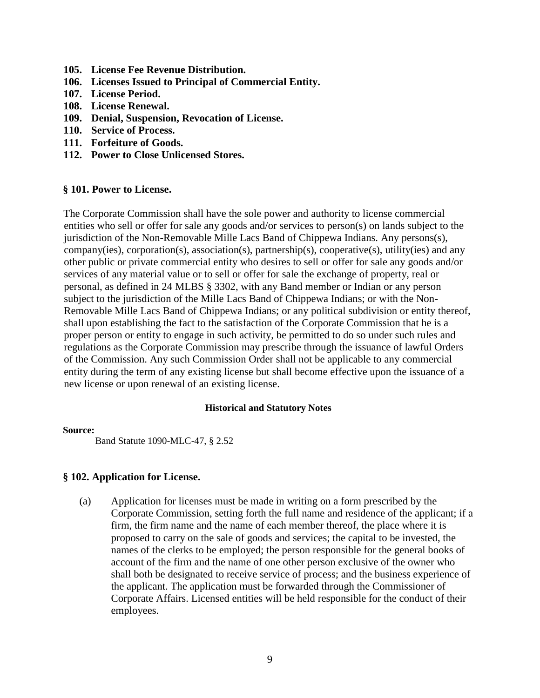- **105. License Fee Revenue Distribution.**
- **106. Licenses Issued to Principal of Commercial Entity.**
- **107. License Period.**
- **108. License Renewal.**
- **109. Denial, Suspension, Revocation of License.**
- **110. Service of Process.**
- **111. Forfeiture of Goods.**
- **112. Power to Close Unlicensed Stores.**

# **§ 101. Power to License.**

The Corporate Commission shall have the sole power and authority to license commercial entities who sell or offer for sale any goods and/or services to person(s) on lands subject to the jurisdiction of the Non-Removable Mille Lacs Band of Chippewa Indians. Any persons(s), company(ies), corporation(s), association(s), partnership(s), cooperative(s), utility(ies) and any other public or private commercial entity who desires to sell or offer for sale any goods and/or services of any material value or to sell or offer for sale the exchange of property, real or personal, as defined in 24 MLBS § 3302, with any Band member or Indian or any person subject to the jurisdiction of the Mille Lacs Band of Chippewa Indians; or with the Non-Removable Mille Lacs Band of Chippewa Indians; or any political subdivision or entity thereof, shall upon establishing the fact to the satisfaction of the Corporate Commission that he is a proper person or entity to engage in such activity, be permitted to do so under such rules and regulations as the Corporate Commission may prescribe through the issuance of lawful Orders of the Commission. Any such Commission Order shall not be applicable to any commercial entity during the term of any existing license but shall become effective upon the issuance of a new license or upon renewal of an existing license.

# **Historical and Statutory Notes**

### **Source:**

Band Statute 1090-MLC-47, § 2.52

# **§ 102. Application for License.**

(a) Application for licenses must be made in writing on a form prescribed by the Corporate Commission, setting forth the full name and residence of the applicant; if a firm, the firm name and the name of each member thereof, the place where it is proposed to carry on the sale of goods and services; the capital to be invested, the names of the clerks to be employed; the person responsible for the general books of account of the firm and the name of one other person exclusive of the owner who shall both be designated to receive service of process; and the business experience of the applicant. The application must be forwarded through the Commissioner of Corporate Affairs. Licensed entities will be held responsible for the conduct of their employees.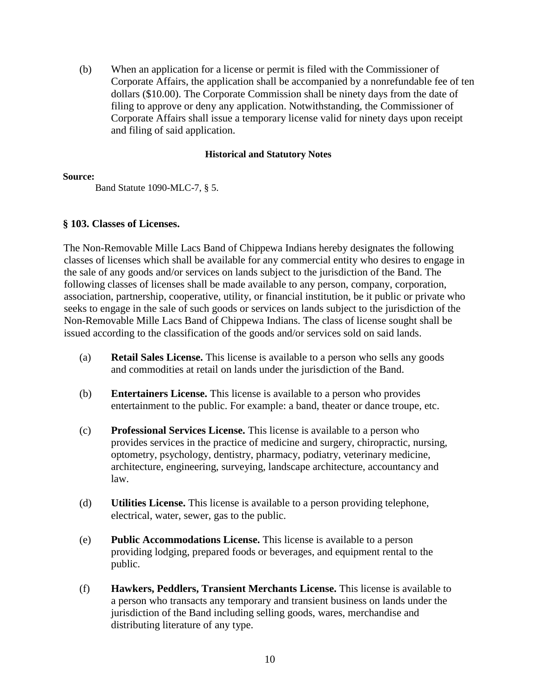(b) When an application for a license or permit is filed with the Commissioner of Corporate Affairs, the application shall be accompanied by a nonrefundable fee of ten dollars (\$10.00). The Corporate Commission shall be ninety days from the date of filing to approve or deny any application. Notwithstanding, the Commissioner of Corporate Affairs shall issue a temporary license valid for ninety days upon receipt and filing of said application.

# **Historical and Statutory Notes**

### **Source:**

Band Statute 1090-MLC-7, § 5.

# **§ 103. Classes of Licenses.**

The Non-Removable Mille Lacs Band of Chippewa Indians hereby designates the following classes of licenses which shall be available for any commercial entity who desires to engage in the sale of any goods and/or services on lands subject to the jurisdiction of the Band. The following classes of licenses shall be made available to any person, company, corporation, association, partnership, cooperative, utility, or financial institution, be it public or private who seeks to engage in the sale of such goods or services on lands subject to the jurisdiction of the Non-Removable Mille Lacs Band of Chippewa Indians. The class of license sought shall be issued according to the classification of the goods and/or services sold on said lands.

- (a) **Retail Sales License.** This license is available to a person who sells any goods and commodities at retail on lands under the jurisdiction of the Band.
- (b) **Entertainers License.** This license is available to a person who provides entertainment to the public. For example: a band, theater or dance troupe, etc.
- (c) **Professional Services License.** This license is available to a person who provides services in the practice of medicine and surgery, chiropractic, nursing, optometry, psychology, dentistry, pharmacy, podiatry, veterinary medicine, architecture, engineering, surveying, landscape architecture, accountancy and law.
- (d) **Utilities License.** This license is available to a person providing telephone, electrical, water, sewer, gas to the public.
- (e) **Public Accommodations License.** This license is available to a person providing lodging, prepared foods or beverages, and equipment rental to the public.
- (f) **Hawkers, Peddlers, Transient Merchants License.** This license is available to a person who transacts any temporary and transient business on lands under the jurisdiction of the Band including selling goods, wares, merchandise and distributing literature of any type.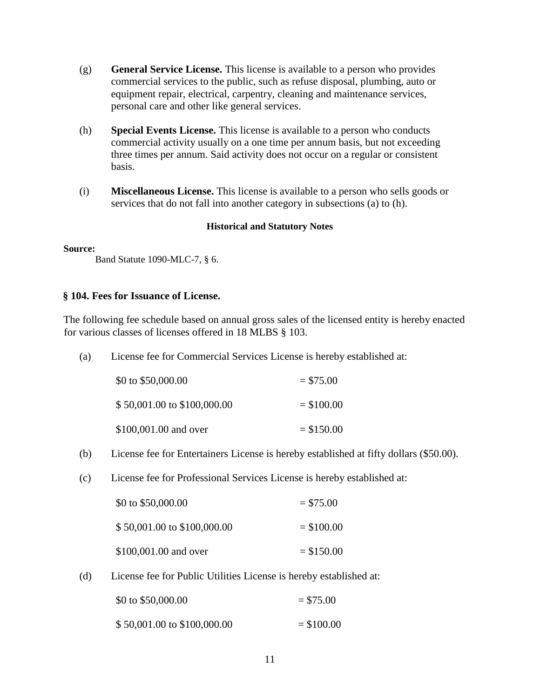- (g) **General Service License.** This license is available to a person who provides commercial services to the public, such as refuse disposal, plumbing, auto or equipment repair, electrical, carpentry, cleaning and maintenance services, personal care and other like general services.
- (h) **Special Events License.** This license is available to a person who conducts commercial activity usually on a one time per annum basis, but not exceeding three times per annum. Said activity does not occur on a regular or consistent basis.
- (i) **Miscellaneous License.** This license is available to a person who sells goods or services that do not fall into another category in subsections (a) to (h).

#### **Source:**

Band Statute 1090-MLC-7, § 6.

# **§ 104. Fees for Issuance of License.**

The following fee schedule based on annual gross sales of the licensed entity is hereby enacted for various classes of licenses offered in 18 MLBS § 103.

(a) License fee for Commercial Services License is hereby established at:

| \$0 to \$50,000.00          | $= $75.00$   |
|-----------------------------|--------------|
| \$50,001.00 to \$100,000.00 | $=$ \$100.00 |
| \$100,001.00 and over       | $=$ \$150.00 |

- (b) License fee for Entertainers License is hereby established at fifty dollars (\$50.00).
- (c) License fee for Professional Services License is hereby established at:

| \$0 to \$50,000.00          | $= $75.00$  |
|-----------------------------|-------------|
| \$50,001.00 to \$100,000.00 | $= $100.00$ |
| \$100,001.00 and over       | $= $150.00$ |

(d) License fee for Public Utilities License is hereby established at:

| \$0 to $$50,000.00$         | $= $75.00$   |
|-----------------------------|--------------|
| \$50,001.00 to \$100,000.00 | $=$ \$100.00 |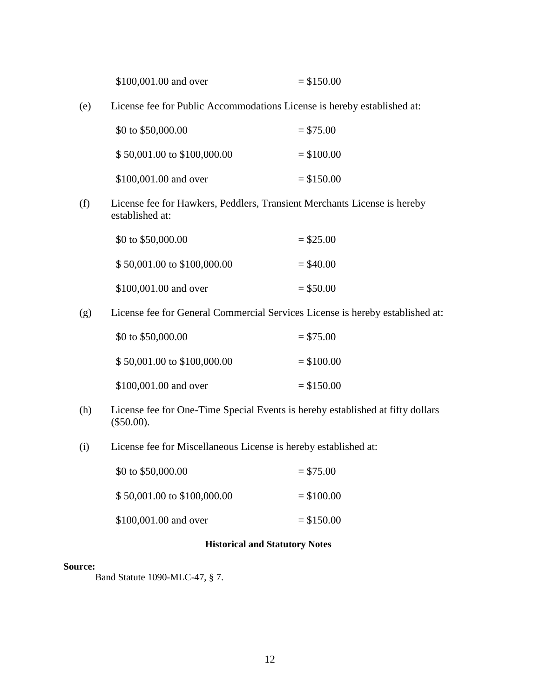| \$100,001.00 and over | $=$ \$150.00 |
|-----------------------|--------------|
|-----------------------|--------------|

(e) License fee for Public Accommodations License is hereby established at:

| \$0 to \$50,000.00          | $= $75.00$   |
|-----------------------------|--------------|
| \$50,001.00 to \$100,000.00 | $=$ \$100.00 |
| \$100,001.00 and over       | $= $150.00$  |

(f) License fee for Hawkers, Peddlers, Transient Merchants License is hereby established at:

| \$0 to \$50,000.00          | $=$ \$25.00 |
|-----------------------------|-------------|
| \$50,001.00 to \$100,000.00 | $=$ \$40.00 |
| \$100,001.00 and over       | $=$ \$50.00 |

(g) License fee for General Commercial Services License is hereby established at:

| \$0 to \$50,000.00          | $= $75.00$   |
|-----------------------------|--------------|
| \$50,001.00 to \$100,000.00 | $= $100.00$  |
| \$100,001.00 and over       | $=$ \$150.00 |

- (h) License fee for One-Time Special Events is hereby established at fifty dollars (\$50.00).
- (i) License fee for Miscellaneous License is hereby established at:

| \$0 to \$50,000.00          | $= $75.00$   |
|-----------------------------|--------------|
| \$50,001.00 to \$100,000.00 | $=$ \$100.00 |
| \$100,001.00 and over       | $=$ \$150.00 |

# **Historical and Statutory Notes**

#### **Source:**

Band Statute 1090-MLC-47, § 7.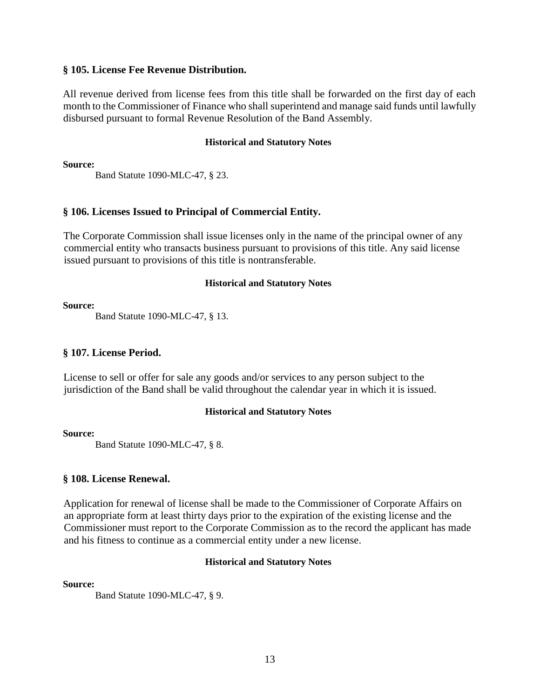# **§ 105. License Fee Revenue Distribution.**

All revenue derived from license fees from this title shall be forwarded on the first day of each month to the Commissioner of Finance who shall superintend and manage said funds until lawfully disbursed pursuant to formal Revenue Resolution of the Band Assembly.

## **Historical and Statutory Notes**

**Source:**

Band Statute 1090-MLC-47, § 23.

# **§ 106. Licenses Issued to Principal of Commercial Entity.**

The Corporate Commission shall issue licenses only in the name of the principal owner of any commercial entity who transacts business pursuant to provisions of this title. Any said license issued pursuant to provisions of this title is nontransferable.

# **Historical and Statutory Notes**

**Source:** 

Band Statute 1090-MLC-47, § 13.

# **§ 107. License Period.**

License to sell or offer for sale any goods and/or services to any person subject to the jurisdiction of the Band shall be valid throughout the calendar year in which it is issued.

# **Historical and Statutory Notes**

# **Source:**

Band Statute 1090-MLC-47, § 8.

# **§ 108. License Renewal.**

Application for renewal of license shall be made to the Commissioner of Corporate Affairs on an appropriate form at least thirty days prior to the expiration of the existing license and the Commissioner must report to the Corporate Commission as to the record the applicant has made and his fitness to continue as a commercial entity under a new license.

# **Historical and Statutory Notes**

**Source:**

Band Statute 1090-MLC-47, § 9.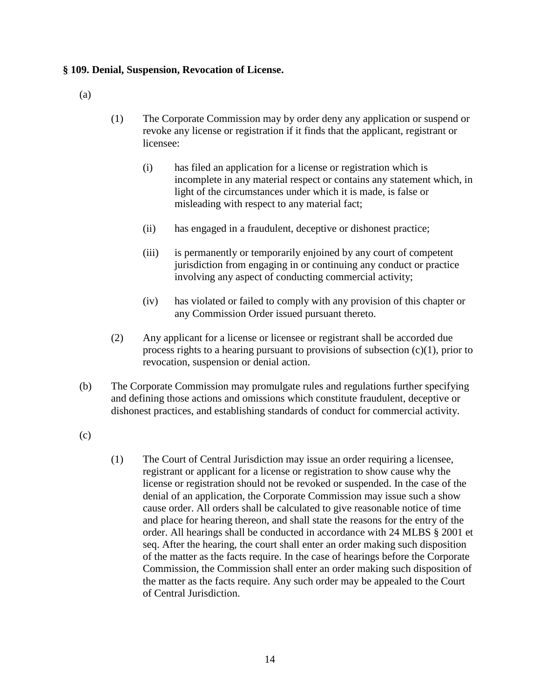# **§ 109. Denial, Suspension, Revocation of License.**

(a)

- (1) The Corporate Commission may by order deny any application or suspend or revoke any license or registration if it finds that the applicant, registrant or licensee:
	- (i) has filed an application for a license or registration which is incomplete in any material respect or contains any statement which, in light of the circumstances under which it is made, is false or misleading with respect to any material fact;
	- (ii) has engaged in a fraudulent, deceptive or dishonest practice;
	- (iii) is permanently or temporarily enjoined by any court of competent jurisdiction from engaging in or continuing any conduct or practice involving any aspect of conducting commercial activity;
	- (iv) has violated or failed to comply with any provision of this chapter or any Commission Order issued pursuant thereto.
- (2) Any applicant for a license or licensee or registrant shall be accorded due process rights to a hearing pursuant to provisions of subsection (c)(1), prior to revocation, suspension or denial action.
- (b) The Corporate Commission may promulgate rules and regulations further specifying and defining those actions and omissions which constitute fraudulent, deceptive or dishonest practices, and establishing standards of conduct for commercial activity.
- (c)
- (1) The Court of Central Jurisdiction may issue an order requiring a licensee, registrant or applicant for a license or registration to show cause why the license or registration should not be revoked or suspended. In the case of the denial of an application, the Corporate Commission may issue such a show cause order. All orders shall be calculated to give reasonable notice of time and place for hearing thereon, and shall state the reasons for the entry of the order. All hearings shall be conducted in accordance with 24 MLBS § 2001 et seq. After the hearing, the court shall enter an order making such disposition of the matter as the facts require. In the case of hearings before the Corporate Commission, the Commission shall enter an order making such disposition of the matter as the facts require. Any such order may be appealed to the Court of Central Jurisdiction.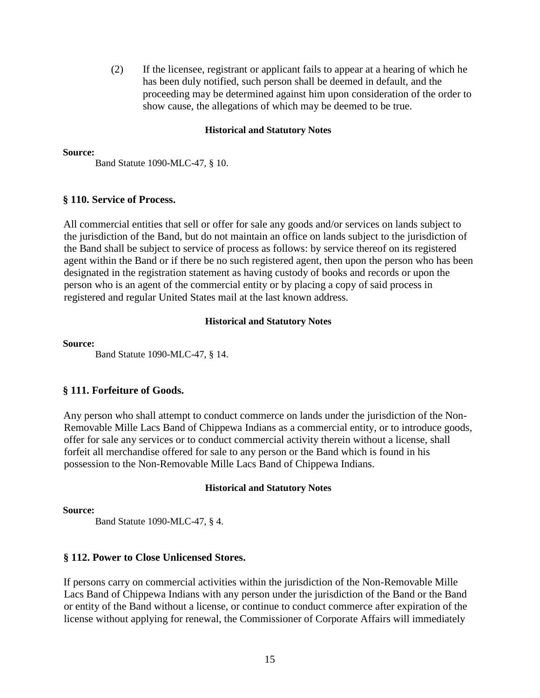(2) If the licensee, registrant or applicant fails to appear at a hearing of which he has been duly notified, such person shall be deemed in default, and the proceeding may be determined against him upon consideration of the order to show cause, the allegations of which may be deemed to be true.

#### **Historical and Statutory Notes**

#### **Source:**

Band Statute 1090-MLC-47, § 10.

#### **§ 110. Service of Process.**

All commercial entities that sell or offer for sale any goods and/or services on lands subject to the jurisdiction of the Band, but do not maintain an office on lands subject to the jurisdiction of the Band shall be subject to service of process as follows: by service thereof on its registered agent within the Band or if there be no such registered agent, then upon the person who has been designated in the registration statement as having custody of books and records or upon the person who is an agent of the commercial entity or by placing a copy of said process in registered and regular United States mail at the last known address.

#### **Historical and Statutory Notes**

#### **Source:**

Band Statute 1090-MLC-47, § 14.

### **§ 111. Forfeiture of Goods.**

Any person who shall attempt to conduct commerce on lands under the jurisdiction of the Non-Removable Mille Lacs Band of Chippewa Indians as a commercial entity, or to introduce goods, offer for sale any services or to conduct commercial activity therein without a license, shall forfeit all merchandise offered for sale to any person or the Band which is found in his possession to the Non-Removable Mille Lacs Band of Chippewa Indians.

#### **Historical and Statutory Notes**

#### **Source:**

Band Statute 1090-MLC-47, § 4.

#### **§ 112. Power to Close Unlicensed Stores.**

If persons carry on commercial activities within the jurisdiction of the Non-Removable Mille Lacs Band of Chippewa Indians with any person under the jurisdiction of the Band or the Band or entity of the Band without a license, or continue to conduct commerce after expiration of the license without applying for renewal, the Commissioner of Corporate Affairs will immediately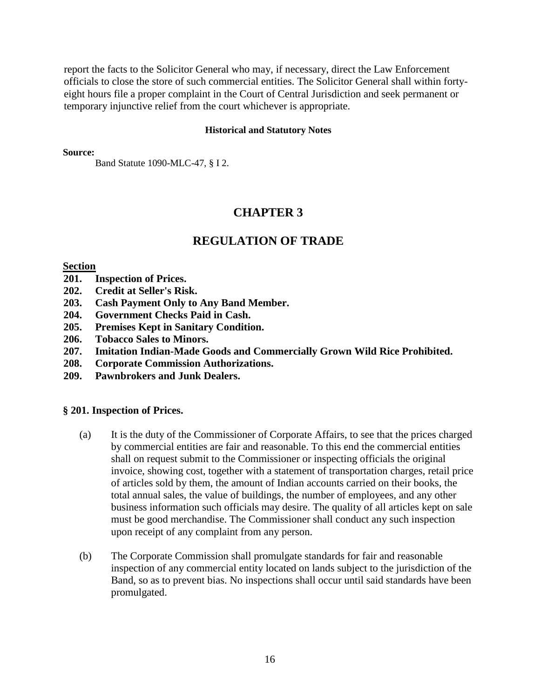report the facts to the Solicitor General who may, if necessary, direct the Law Enforcement officials to close the store of such commercial entities. The Solicitor General shall within fortyeight hours file a proper complaint in the Court of Central Jurisdiction and seek permanent or temporary injunctive relief from the court whichever is appropriate.

#### **Historical and Statutory Notes**

**Source:**

Band Statute 1090-MLC-47, § I 2.

# **CHAPTER 3**

# **REGULATION OF TRADE**

#### **Section**

- **201. Inspection of Prices.**
- **202. Credit at Seller's Risk.**
- **203. Cash Payment Only to Any Band Member.**
- **204. Government Checks Paid in Cash.**
- **205. Premises Kept in Sanitary Condition.**
- **206. Tobacco Sales to Minors.**
- **207. Imitation Indian-Made Goods and Commercially Grown Wild Rice Prohibited.**
- **208. Corporate Commission Authorizations.**
- **209. Pawnbrokers and Junk Dealers.**

### **§ 201. Inspection of Prices.**

- (a) It is the duty of the Commissioner of Corporate Affairs, to see that the prices charged by commercial entities are fair and reasonable. To this end the commercial entities shall on request submit to the Commissioner or inspecting officials the original invoice, showing cost, together with a statement of transportation charges, retail price of articles sold by them, the amount of Indian accounts carried on their books, the total annual sales, the value of buildings, the number of employees, and any other business information such officials may desire. The quality of all articles kept on sale must be good merchandise. The Commissioner shall conduct any such inspection upon receipt of any complaint from any person.
- (b) The Corporate Commission shall promulgate standards for fair and reasonable inspection of any commercial entity located on lands subject to the jurisdiction of the Band, so as to prevent bias. No inspections shall occur until said standards have been promulgated.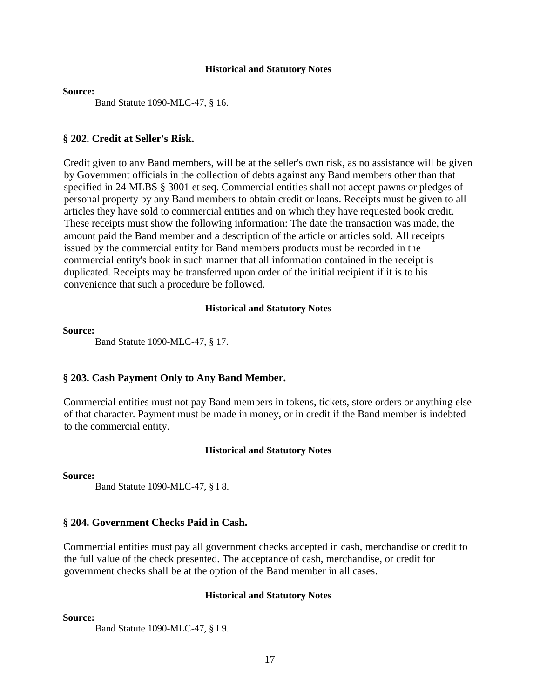**Source:** 

Band Statute 1090-MLC-47, § 16.

#### **§ 202. Credit at Seller's Risk.**

Credit given to any Band members, will be at the seller's own risk, as no assistance will be given by Government officials in the collection of debts against any Band members other than that specified in 24 MLBS § 3001 et seq. Commercial entities shall not accept pawns or pledges of personal property by any Band members to obtain credit or loans. Receipts must be given to all articles they have sold to commercial entities and on which they have requested book credit. These receipts must show the following information: The date the transaction was made, the amount paid the Band member and a description of the article or articles sold. All receipts issued by the commercial entity for Band members products must be recorded in the commercial entity's book in such manner that all information contained in the receipt is duplicated. Receipts may be transferred upon order of the initial recipient if it is to his convenience that such a procedure be followed.

#### **Historical and Statutory Notes**

#### **Source:**

Band Statute 1090-MLC-47, § 17.

#### **§ 203. Cash Payment Only to Any Band Member.**

Commercial entities must not pay Band members in tokens, tickets, store orders or anything else of that character. Payment must be made in money, or in credit if the Band member is indebted to the commercial entity.

#### **Historical and Statutory Notes**

**Source:** 

Band Statute 1090-MLC-47, § I 8.

## **§ 204. Government Checks Paid in Cash.**

Commercial entities must pay all government checks accepted in cash, merchandise or credit to the full value of the check presented. The acceptance of cash, merchandise, or credit for government checks shall be at the option of the Band member in all cases.

#### **Historical and Statutory Notes**

**Source:** 

Band Statute 1090-MLC-47, § I 9.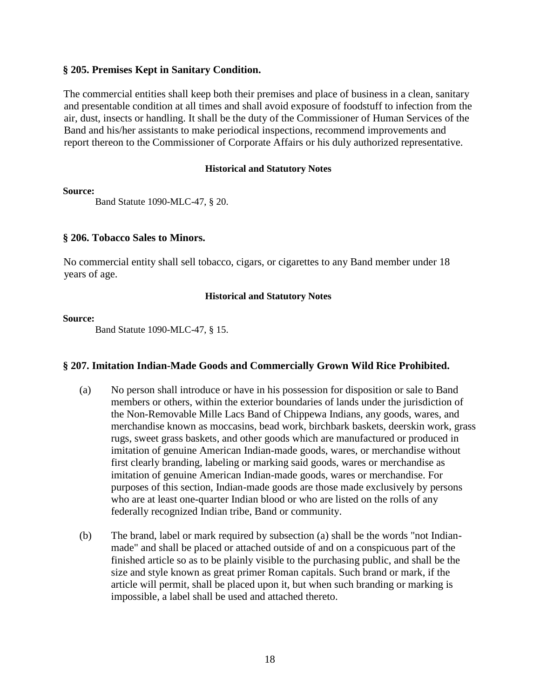# **§ 205. Premises Kept in Sanitary Condition.**

The commercial entities shall keep both their premises and place of business in a clean, sanitary and presentable condition at all times and shall avoid exposure of foodstuff to infection from the air, dust, insects or handling. It shall be the duty of the Commissioner of Human Services of the Band and his/her assistants to make periodical inspections, recommend improvements and report thereon to the Commissioner of Corporate Affairs or his duly authorized representative.

## **Historical and Statutory Notes**

**Source:** 

Band Statute 1090-MLC-47, § 20.

# **§ 206. Tobacco Sales to Minors.**

No commercial entity shall sell tobacco, cigars, or cigarettes to any Band member under 18 years of age.

# **Historical and Statutory Notes**

### **Source:**

Band Statute 1090-MLC-47, § 15.

# **§ 207. Imitation Indian-Made Goods and Commercially Grown Wild Rice Prohibited.**

- (a) No person shall introduce or have in his possession for disposition or sale to Band members or others, within the exterior boundaries of lands under the jurisdiction of the Non-Removable Mille Lacs Band of Chippewa Indians, any goods, wares, and merchandise known as moccasins, bead work, birchbark baskets, deerskin work, grass rugs, sweet grass baskets, and other goods which are manufactured or produced in imitation of genuine American Indian-made goods, wares, or merchandise without first clearly branding, labeling or marking said goods, wares or merchandise as imitation of genuine American Indian-made goods, wares or merchandise. For purposes of this section, Indian-made goods are those made exclusively by persons who are at least one-quarter Indian blood or who are listed on the rolls of any federally recognized Indian tribe, Band or community.
- (b) The brand, label or mark required by subsection (a) shall be the words "not Indianmade" and shall be placed or attached outside of and on a conspicuous part of the finished article so as to be plainly visible to the purchasing public, and shall be the size and style known as great primer Roman capitals. Such brand or mark, if the article will permit, shall be placed upon it, but when such branding or marking is impossible, a label shall be used and attached thereto.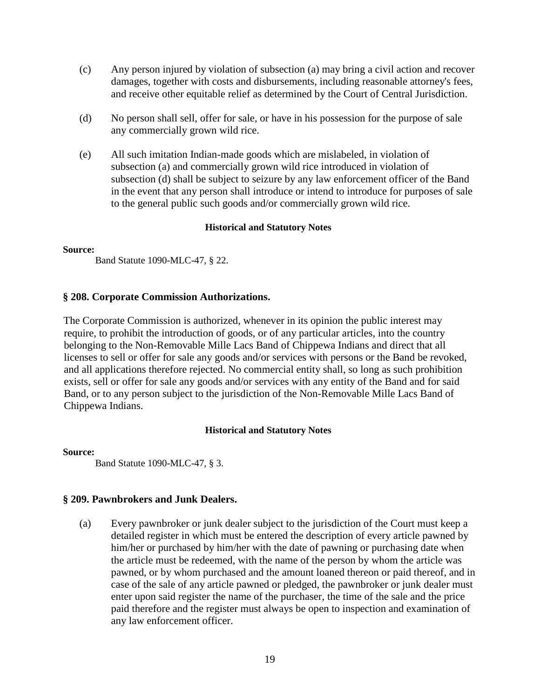- (c) Any person injured by violation of subsection (a) may bring a civil action and recover damages, together with costs and disbursements, including reasonable attorney's fees, and receive other equitable relief as determined by the Court of Central Jurisdiction.
- (d) No person shall sell, offer for sale, or have in his possession for the purpose of sale any commercially grown wild rice.
- (e) All such imitation Indian-made goods which are mislabeled, in violation of subsection (a) and commercially grown wild rice introduced in violation of subsection (d) shall be subject to seizure by any law enforcement officer of the Band in the event that any person shall introduce or intend to introduce for purposes of sale to the general public such goods and/or commercially grown wild rice.

#### **Source:**

Band Statute 1090-MLC-47, § 22.

# **§ 208. Corporate Commission Authorizations.**

The Corporate Commission is authorized, whenever in its opinion the public interest may require, to prohibit the introduction of goods, or of any particular articles, into the country belonging to the Non-Removable Mille Lacs Band of Chippewa Indians and direct that all licenses to sell or offer for sale any goods and/or services with persons or the Band be revoked, and all applications therefore rejected. No commercial entity shall, so long as such prohibition exists, sell or offer for sale any goods and/or services with any entity of the Band and for said Band, or to any person subject to the jurisdiction of the Non-Removable Mille Lacs Band of Chippewa Indians.

### **Historical and Statutory Notes**

### **Source:**

Band Statute 1090-MLC-47, § 3.

## **§ 209. Pawnbrokers and Junk Dealers.**

(a) Every pawnbroker or junk dealer subject to the jurisdiction of the Court must keep a detailed register in which must be entered the description of every article pawned by him/her or purchased by him/her with the date of pawning or purchasing date when the article must be redeemed, with the name of the person by whom the article was pawned, or by whom purchased and the amount loaned thereon or paid thereof, and in case of the sale of any article pawned or pledged, the pawnbroker or junk dealer must enter upon said register the name of the purchaser, the time of the sale and the price paid therefore and the register must always be open to inspection and examination of any law enforcement officer.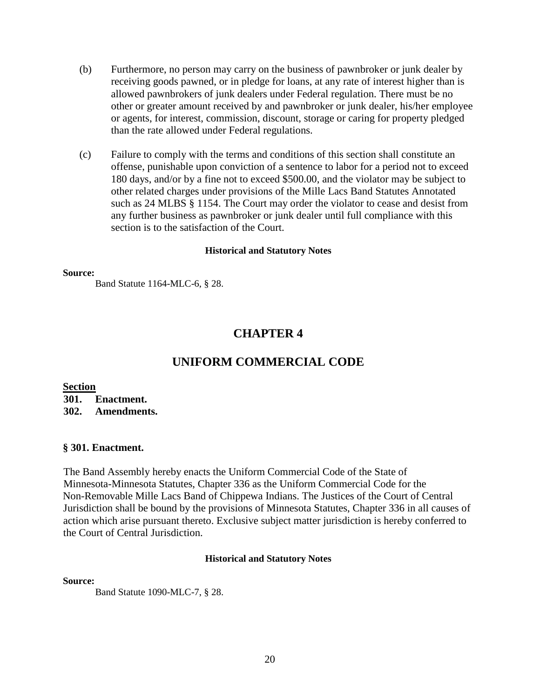- (b) Furthermore, no person may carry on the business of pawnbroker or junk dealer by receiving goods pawned, or in pledge for loans, at any rate of interest higher than is allowed pawnbrokers of junk dealers under Federal regulation. There must be no other or greater amount received by and pawnbroker or junk dealer, his/her employee or agents, for interest, commission, discount, storage or caring for property pledged than the rate allowed under Federal regulations.
- (c) Failure to comply with the terms and conditions of this section shall constitute an offense, punishable upon conviction of a sentence to labor for a period not to exceed 180 days, and/or by a fine not to exceed \$500.00, and the violator may be subject to other related charges under provisions of the Mille Lacs Band Statutes Annotated such as 24 MLBS § 1154. The Court may order the violator to cease and desist from any further business as pawnbroker or junk dealer until full compliance with this section is to the satisfaction of the Court.

#### **Source:**

Band Statute 1164-MLC-6, § 28.

# **CHAPTER 4**

# **UNIFORM COMMERCIAL CODE**

# **Section**

**301. Enactment. 302. Amendments.** 

### **§ 301. Enactment.**

The Band Assembly hereby enacts the Uniform Commercial Code of the State of Minnesota-Minnesota Statutes, Chapter 336 as the Uniform Commercial Code for the Non-Removable Mille Lacs Band of Chippewa Indians. The Justices of the Court of Central Jurisdiction shall be bound by the provisions of Minnesota Statutes, Chapter 336 in all causes of action which arise pursuant thereto. Exclusive subject matter jurisdiction is hereby conferred to the Court of Central Jurisdiction.

#### **Historical and Statutory Notes**

#### **Source:**

Band Statute 1090-MLC-7, § 28.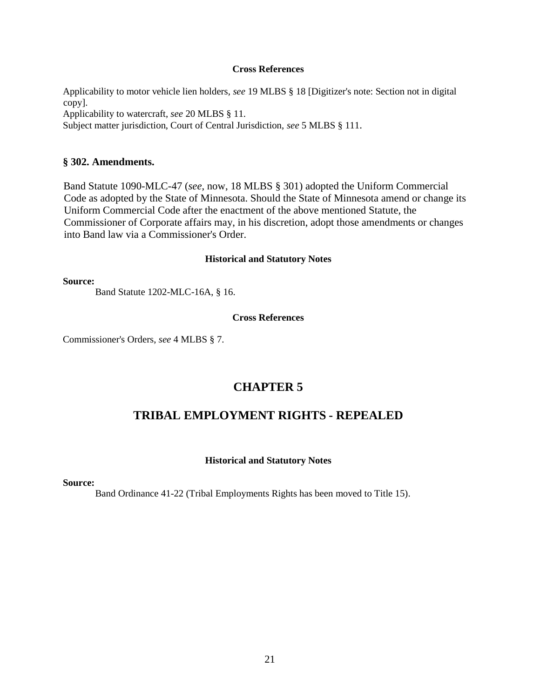#### **Cross References**

Applicability to motor vehicle lien holders, *see* 19 MLBS § 18 [Digitizer's note: Section not in digital copy].

Applicability to watercraft, *see* 20 MLBS § 11.

Subject matter jurisdiction, Court of Central Jurisdiction, *see* 5 MLBS § 111.

# **§ 302. Amendments.**

Band Statute 1090-MLC-47 (*see*, now, 18 MLBS § 301) adopted the Uniform Commercial Code as adopted by the State of Minnesota. Should the State of Minnesota amend or change its Uniform Commercial Code after the enactment of the above mentioned Statute, the Commissioner of Corporate affairs may, in his discretion, adopt those amendments or changes into Band law via a Commissioner's Order.

#### **Historical and Statutory Notes**

**Source:** 

Band Statute 1202-MLC-16A, § 16.

#### **Cross References**

Commissioner's Orders, *see* 4 MLBS § 7.

# **CHAPTER 5**

# **TRIBAL EMPLOYMENT RIGHTS - REPEALED**

### **Historical and Statutory Notes**

#### **Source:**

Band Ordinance 41-22 (Tribal Employments Rights has been moved to Title 15).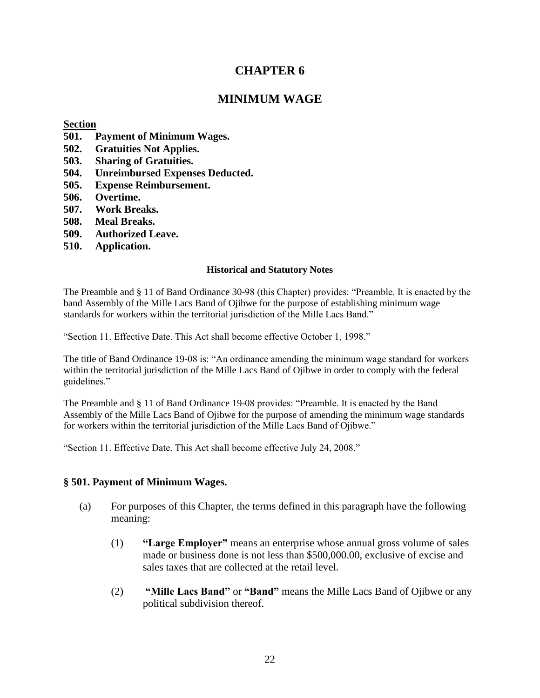# **CHAPTER 6**

# **MINIMUM WAGE**

# **Section**

- **501. Payment of Minimum Wages.**
- **502. Gratuities Not Applies.**
- **503. Sharing of Gratuities.**
- **504. Unreimbursed Expenses Deducted.**
- **505. Expense Reimbursement.**
- **506. Overtime.**
- **507. Work Breaks.**
- **508. Meal Breaks.**
- **509. Authorized Leave.**
- **510. Application.**

# **Historical and Statutory Notes**

The Preamble and § 11 of Band Ordinance 30-98 (this Chapter) provides: "Preamble. It is enacted by the band Assembly of the Mille Lacs Band of Ojibwe for the purpose of establishing minimum wage standards for workers within the territorial jurisdiction of the Mille Lacs Band."

"Section 11. Effective Date. This Act shall become effective October 1, 1998."

The title of Band Ordinance 19-08 is: "An ordinance amending the minimum wage standard for workers within the territorial jurisdiction of the Mille Lacs Band of Ojibwe in order to comply with the federal guidelines."

The Preamble and § 11 of Band Ordinance 19-08 provides: "Preamble. It is enacted by the Band Assembly of the Mille Lacs Band of Ojibwe for the purpose of amending the minimum wage standards for workers within the territorial jurisdiction of the Mille Lacs Band of Ojibwe."

"Section 11. Effective Date. This Act shall become effective July 24, 2008."

# **§ 501. Payment of Minimum Wages.**

- (a) For purposes of this Chapter, the terms defined in this paragraph have the following meaning:
	- (1) **"Large Employer"** means an enterprise whose annual gross volume of sales made or business done is not less than \$500,000.00, exclusive of excise and sales taxes that are collected at the retail level.
	- (2) **"Mille Lacs Band"** or **"Band"** means the Mille Lacs Band of Ojibwe or any political subdivision thereof.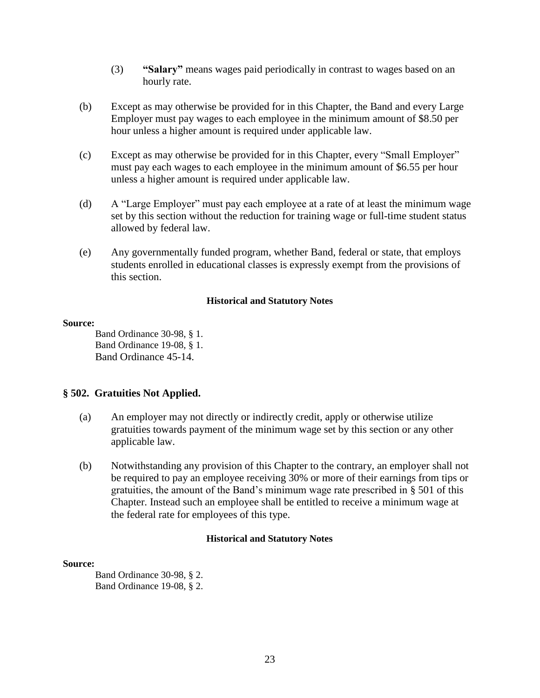- (3) **"Salary"** means wages paid periodically in contrast to wages based on an hourly rate.
- (b) Except as may otherwise be provided for in this Chapter, the Band and every Large Employer must pay wages to each employee in the minimum amount of \$8.50 per hour unless a higher amount is required under applicable law.
- (c) Except as may otherwise be provided for in this Chapter, every "Small Employer" must pay each wages to each employee in the minimum amount of \$6.55 per hour unless a higher amount is required under applicable law.
- (d) A "Large Employer" must pay each employee at a rate of at least the minimum wage set by this section without the reduction for training wage or full-time student status allowed by federal law.
- (e) Any governmentally funded program, whether Band, federal or state, that employs students enrolled in educational classes is expressly exempt from the provisions of this section.

#### **Source:**

Band Ordinance 30-98, § 1. Band Ordinance 19-08, § 1. Band Ordinance 45-14.

# **§ 502. Gratuities Not Applied.**

- (a) An employer may not directly or indirectly credit, apply or otherwise utilize gratuities towards payment of the minimum wage set by this section or any other applicable law.
- (b) Notwithstanding any provision of this Chapter to the contrary, an employer shall not be required to pay an employee receiving 30% or more of their earnings from tips or gratuities, the amount of the Band's minimum wage rate prescribed in § 501 of this Chapter. Instead such an employee shall be entitled to receive a minimum wage at the federal rate for employees of this type.

### **Historical and Statutory Notes**

### **Source:**

Band Ordinance 30-98, § 2. Band Ordinance 19-08, § 2.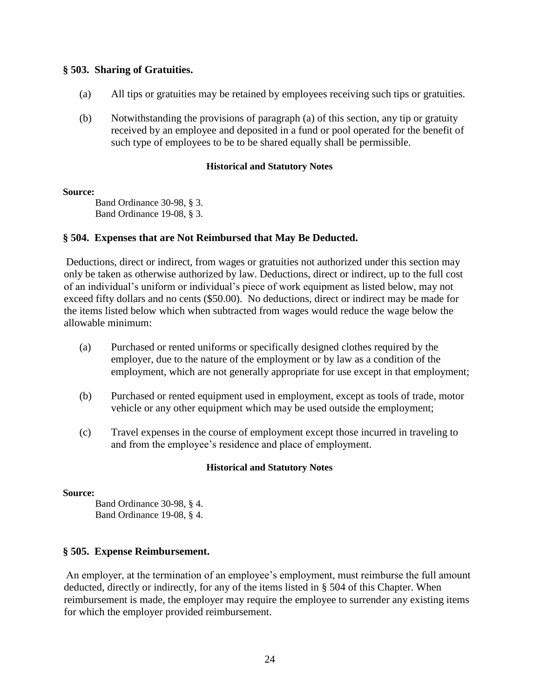# **§ 503. Sharing of Gratuities.**

- (a) All tips or gratuities may be retained by employees receiving such tips or gratuities.
- (b) Notwithstanding the provisions of paragraph (a) of this section, any tip or gratuity received by an employee and deposited in a fund or pool operated for the benefit of such type of employees to be to be shared equally shall be permissible.

### **Historical and Statutory Notes**

#### **Source:**

Band Ordinance 30-98, § 3. Band Ordinance 19-08, § 3.

# **§ 504. Expenses that are Not Reimbursed that May Be Deducted.**

Deductions, direct or indirect, from wages or gratuities not authorized under this section may only be taken as otherwise authorized by law. Deductions, direct or indirect, up to the full cost of an individual's uniform or individual's piece of work equipment as listed below, may not exceed fifty dollars and no cents (\$50.00). No deductions, direct or indirect may be made for the items listed below which when subtracted from wages would reduce the wage below the allowable minimum:

- (a) Purchased or rented uniforms or specifically designed clothes required by the employer, due to the nature of the employment or by law as a condition of the employment, which are not generally appropriate for use except in that employment;
- (b) Purchased or rented equipment used in employment, except as tools of trade, motor vehicle or any other equipment which may be used outside the employment;
- (c) Travel expenses in the course of employment except those incurred in traveling to and from the employee's residence and place of employment.

### **Historical and Statutory Notes**

### **Source:**

Band Ordinance 30-98, § 4. Band Ordinance 19-08, § 4.

# **§ 505. Expense Reimbursement.**

An employer, at the termination of an employee's employment, must reimburse the full amount deducted, directly or indirectly, for any of the items listed in § 504 of this Chapter. When reimbursement is made, the employer may require the employee to surrender any existing items for which the employer provided reimbursement.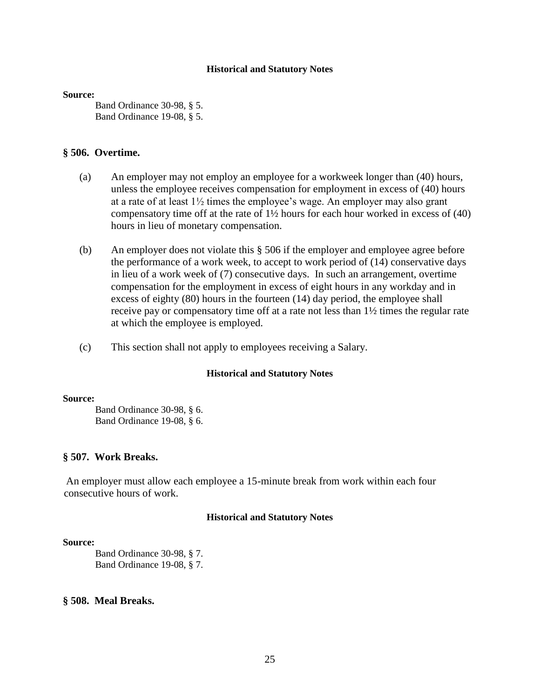#### **Source:**

Band Ordinance 30-98, § 5. Band Ordinance 19-08, § 5.

#### **§ 506. Overtime.**

- (a) An employer may not employ an employee for a workweek longer than (40) hours, unless the employee receives compensation for employment in excess of (40) hours at a rate of at least  $1\frac{1}{2}$  times the employee's wage. An employer may also grant compensatory time off at the rate of  $1\frac{1}{2}$  hours for each hour worked in excess of (40) hours in lieu of monetary compensation.
- (b) An employer does not violate this § 506 if the employer and employee agree before the performance of a work week, to accept to work period of (14) conservative days in lieu of a work week of (7) consecutive days. In such an arrangement, overtime compensation for the employment in excess of eight hours in any workday and in excess of eighty (80) hours in the fourteen (14) day period, the employee shall receive pay or compensatory time off at a rate not less than 1½ times the regular rate at which the employee is employed.
- (c) This section shall not apply to employees receiving a Salary.

#### **Historical and Statutory Notes**

#### **Source:**

Band Ordinance 30-98, § 6. Band Ordinance 19-08, § 6.

#### **§ 507. Work Breaks.**

An employer must allow each employee a 15-minute break from work within each four consecutive hours of work.

#### **Historical and Statutory Notes**

#### **Source:**

Band Ordinance 30-98, § 7. Band Ordinance 19-08, § 7.

# **§ 508. Meal Breaks.**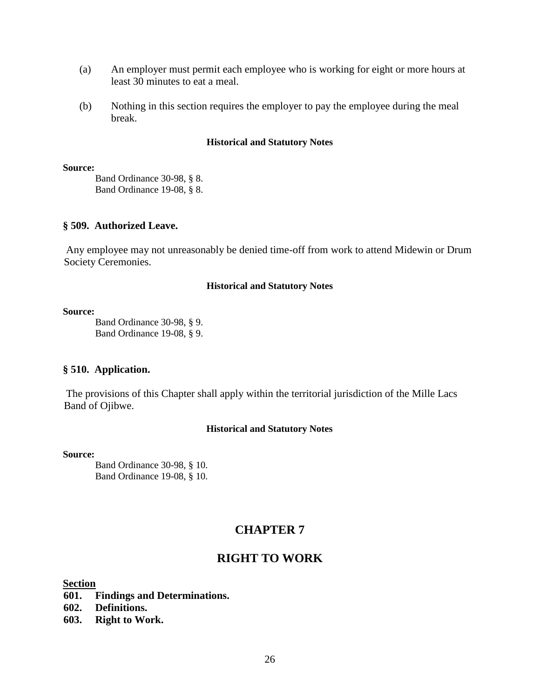- (a) An employer must permit each employee who is working for eight or more hours at least 30 minutes to eat a meal.
- (b) Nothing in this section requires the employer to pay the employee during the meal break.

#### **Source:**

Band Ordinance 30-98, § 8. Band Ordinance 19-08, § 8.

# **§ 509. Authorized Leave.**

Any employee may not unreasonably be denied time-off from work to attend Midewin or Drum Society Ceremonies.

# **Historical and Statutory Notes**

#### **Source:**

Band Ordinance 30-98, § 9. Band Ordinance 19-08, § 9.

### **§ 510. Application.**

The provisions of this Chapter shall apply within the territorial jurisdiction of the Mille Lacs Band of Ojibwe.

### **Historical and Statutory Notes**

### **Source:**

Band Ordinance 30-98, § 10. Band Ordinance 19-08, § 10.

# **CHAPTER 7**

# **RIGHT TO WORK**

# **Section**

- **601. Findings and Determinations.**
- **602. Definitions.**
- **603. Right to Work.**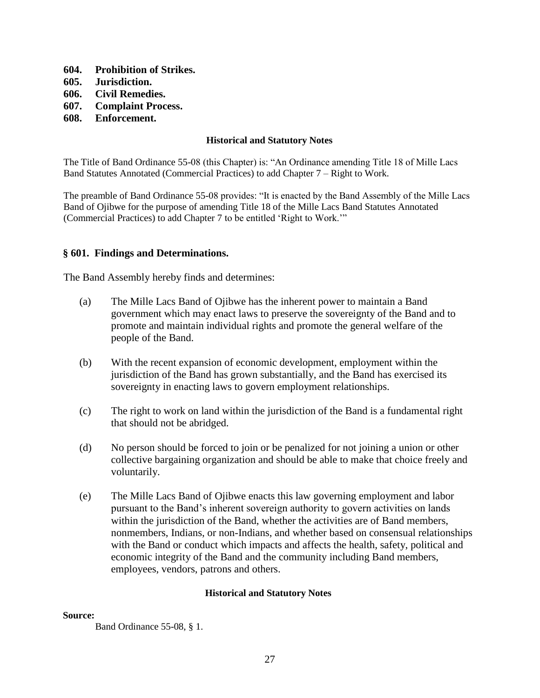- **604. Prohibition of Strikes.**
- **605. Jurisdiction.**
- **606. Civil Remedies.**
- **607. Complaint Process.**
- **608. Enforcement.**

The Title of Band Ordinance 55-08 (this Chapter) is: "An Ordinance amending Title 18 of Mille Lacs Band Statutes Annotated (Commercial Practices) to add Chapter 7 – Right to Work.

The preamble of Band Ordinance 55-08 provides: "It is enacted by the Band Assembly of the Mille Lacs Band of Ojibwe for the purpose of amending Title 18 of the Mille Lacs Band Statutes Annotated (Commercial Practices) to add Chapter 7 to be entitled 'Right to Work.'"

# **§ 601. Findings and Determinations.**

The Band Assembly hereby finds and determines:

- (a) The Mille Lacs Band of Ojibwe has the inherent power to maintain a Band government which may enact laws to preserve the sovereignty of the Band and to promote and maintain individual rights and promote the general welfare of the people of the Band.
- (b) With the recent expansion of economic development, employment within the jurisdiction of the Band has grown substantially, and the Band has exercised its sovereignty in enacting laws to govern employment relationships.
- (c) The right to work on land within the jurisdiction of the Band is a fundamental right that should not be abridged.
- (d) No person should be forced to join or be penalized for not joining a union or other collective bargaining organization and should be able to make that choice freely and voluntarily.
- (e) The Mille Lacs Band of Ojibwe enacts this law governing employment and labor pursuant to the Band's inherent sovereign authority to govern activities on lands within the jurisdiction of the Band, whether the activities are of Band members, nonmembers, Indians, or non-Indians, and whether based on consensual relationships with the Band or conduct which impacts and affects the health, safety, political and economic integrity of the Band and the community including Band members, employees, vendors, patrons and others.

### **Historical and Statutory Notes**

#### **Source:**

Band Ordinance 55-08, § 1.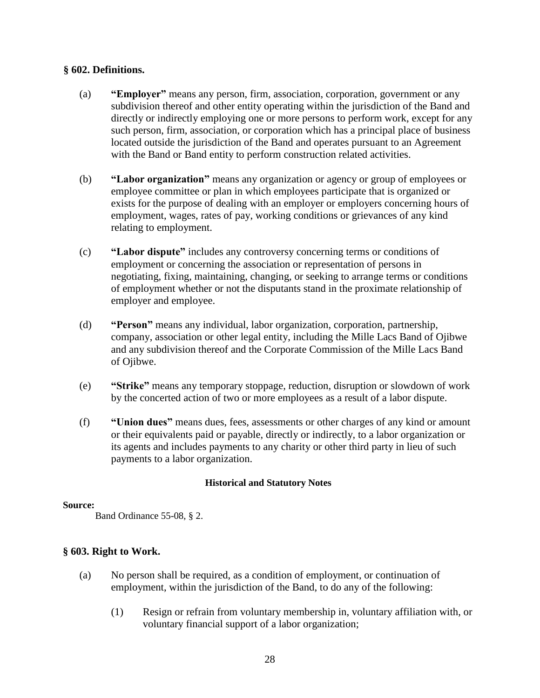# **§ 602. Definitions.**

- (a) **"Employer"** means any person, firm, association, corporation, government or any subdivision thereof and other entity operating within the jurisdiction of the Band and directly or indirectly employing one or more persons to perform work, except for any such person, firm, association, or corporation which has a principal place of business located outside the jurisdiction of the Band and operates pursuant to an Agreement with the Band or Band entity to perform construction related activities.
- (b) **"Labor organization"** means any organization or agency or group of employees or employee committee or plan in which employees participate that is organized or exists for the purpose of dealing with an employer or employers concerning hours of employment, wages, rates of pay, working conditions or grievances of any kind relating to employment.
- (c) **"Labor dispute"** includes any controversy concerning terms or conditions of employment or concerning the association or representation of persons in negotiating, fixing, maintaining, changing, or seeking to arrange terms or conditions of employment whether or not the disputants stand in the proximate relationship of employer and employee.
- (d) **"Person"** means any individual, labor organization, corporation, partnership, company, association or other legal entity, including the Mille Lacs Band of Ojibwe and any subdivision thereof and the Corporate Commission of the Mille Lacs Band of Ojibwe.
- (e) **"Strike"** means any temporary stoppage, reduction, disruption or slowdown of work by the concerted action of two or more employees as a result of a labor dispute.
- (f) **"Union dues"** means dues, fees, assessments or other charges of any kind or amount or their equivalents paid or payable, directly or indirectly, to a labor organization or its agents and includes payments to any charity or other third party in lieu of such payments to a labor organization.

# **Historical and Statutory Notes**

### **Source:**

Band Ordinance 55-08, § 2.

# **§ 603. Right to Work.**

- (a) No person shall be required, as a condition of employment, or continuation of employment, within the jurisdiction of the Band, to do any of the following:
	- (1) Resign or refrain from voluntary membership in, voluntary affiliation with, or voluntary financial support of a labor organization;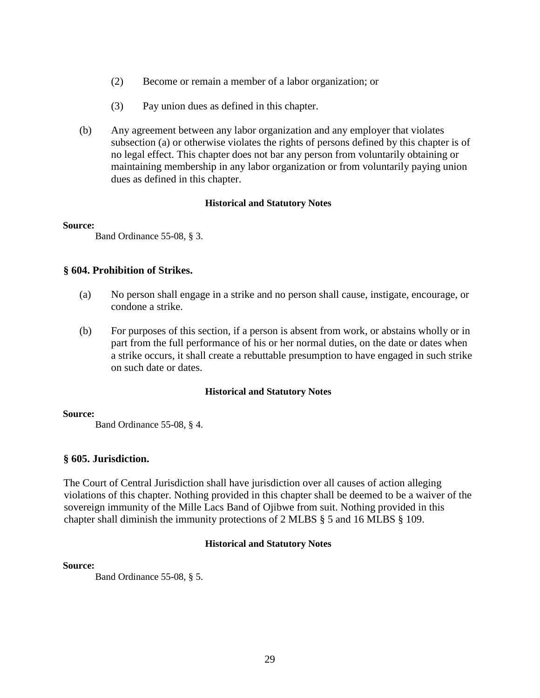- (2) Become or remain a member of a labor organization; or
- (3) Pay union dues as defined in this chapter.
- (b) Any agreement between any labor organization and any employer that violates subsection (a) or otherwise violates the rights of persons defined by this chapter is of no legal effect. This chapter does not bar any person from voluntarily obtaining or maintaining membership in any labor organization or from voluntarily paying union dues as defined in this chapter.

#### **Source:**

Band Ordinance 55-08, § 3.

### **§ 604. Prohibition of Strikes.**

- (a) No person shall engage in a strike and no person shall cause, instigate, encourage, or condone a strike.
- (b) For purposes of this section, if a person is absent from work, or abstains wholly or in part from the full performance of his or her normal duties, on the date or dates when a strike occurs, it shall create a rebuttable presumption to have engaged in such strike on such date or dates.

### **Historical and Statutory Notes**

#### **Source:**

Band Ordinance 55-08, § 4.

### **§ 605. Jurisdiction.**

The Court of Central Jurisdiction shall have jurisdiction over all causes of action alleging violations of this chapter. Nothing provided in this chapter shall be deemed to be a waiver of the sovereign immunity of the Mille Lacs Band of Ojibwe from suit. Nothing provided in this chapter shall diminish the immunity protections of 2 MLBS § 5 and 16 MLBS § 109.

### **Historical and Statutory Notes**

#### **Source:**

Band Ordinance 55-08, § 5.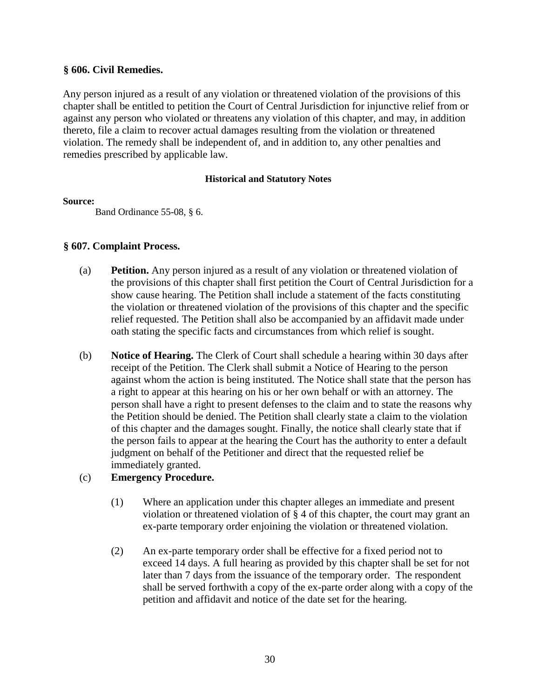# **§ 606. Civil Remedies.**

Any person injured as a result of any violation or threatened violation of the provisions of this chapter shall be entitled to petition the Court of Central Jurisdiction for injunctive relief from or against any person who violated or threatens any violation of this chapter, and may, in addition thereto, file a claim to recover actual damages resulting from the violation or threatened violation. The remedy shall be independent of, and in addition to, any other penalties and remedies prescribed by applicable law.

# **Historical and Statutory Notes**

# **Source:**

Band Ordinance 55-08, § 6.

# **§ 607. Complaint Process.**

- (a) **Petition.** Any person injured as a result of any violation or threatened violation of the provisions of this chapter shall first petition the Court of Central Jurisdiction for a show cause hearing. The Petition shall include a statement of the facts constituting the violation or threatened violation of the provisions of this chapter and the specific relief requested. The Petition shall also be accompanied by an affidavit made under oath stating the specific facts and circumstances from which relief is sought.
- (b) **Notice of Hearing.** The Clerk of Court shall schedule a hearing within 30 days after receipt of the Petition. The Clerk shall submit a Notice of Hearing to the person against whom the action is being instituted. The Notice shall state that the person has a right to appear at this hearing on his or her own behalf or with an attorney. The person shall have a right to present defenses to the claim and to state the reasons why the Petition should be denied. The Petition shall clearly state a claim to the violation of this chapter and the damages sought. Finally, the notice shall clearly state that if the person fails to appear at the hearing the Court has the authority to enter a default judgment on behalf of the Petitioner and direct that the requested relief be immediately granted.

# (c) **Emergency Procedure.**

- (1) Where an application under this chapter alleges an immediate and present violation or threatened violation of § 4 of this chapter, the court may grant an ex-parte temporary order enjoining the violation or threatened violation.
- (2) An ex-parte temporary order shall be effective for a fixed period not to exceed 14 days. A full hearing as provided by this chapter shall be set for not later than 7 days from the issuance of the temporary order. The respondent shall be served forthwith a copy of the ex-parte order along with a copy of the petition and affidavit and notice of the date set for the hearing.